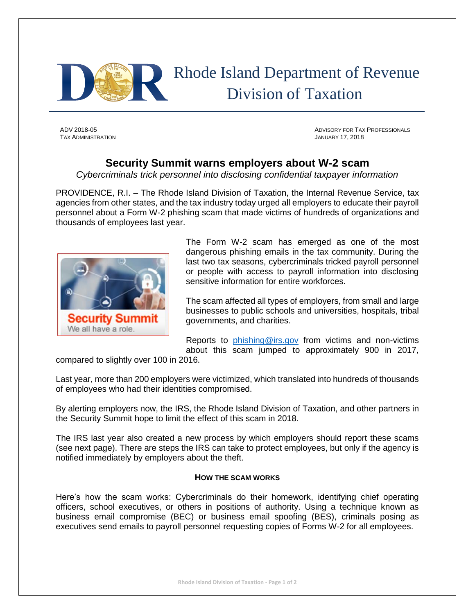

 Rhode Island Department of Revenue Division of Taxation

TAX ADMINISTRATION JANUARY 17, 2018

ADV 2018-05 ADVISORY FOR TAX PROFESSIONALS

## **Security Summit warns employers about W-2 scam**

*Cybercriminals trick personnel into disclosing confidential taxpayer information*

PROVIDENCE, R.I. – The Rhode Island Division of Taxation, the Internal Revenue Service, tax agencies from other states, and the tax industry today urged all employers to educate their payroll personnel about a Form W-2 phishing scam that made victims of hundreds of organizations and thousands of employees last year.



The Form W-2 scam has emerged as one of the most dangerous phishing emails in the tax community. During the last two tax seasons, cybercriminals tricked payroll personnel or people with access to payroll information into disclosing sensitive information for entire workforces.

The scam affected all types of employers, from small and large businesses to public schools and universities, hospitals, tribal governments, and charities.

Reports to [phishing@irs.gov](mailto:phishing@irs.gov) from victims and non-victims about this scam jumped to approximately 900 in 2017,

compared to slightly over 100 in 2016.

Last year, more than 200 employers were victimized, which translated into hundreds of thousands of employees who had their identities compromised.

By alerting employers now, the IRS, the Rhode Island Division of Taxation, and other partners in the Security Summit hope to limit the effect of this scam in 2018.

The IRS last year also created a new process by which employers should report these scams (see next page). There are steps the IRS can take to protect employees, but only if the agency is notified immediately by employers about the theft.

## **HOW THE SCAM WORKS**

Here's how the scam works: Cybercriminals do their homework, identifying chief operating officers, school executives, or others in positions of authority. Using a technique known as business email compromise (BEC) or business email spoofing (BES), criminals posing as executives send emails to payroll personnel requesting copies of Forms W-2 for all employees.